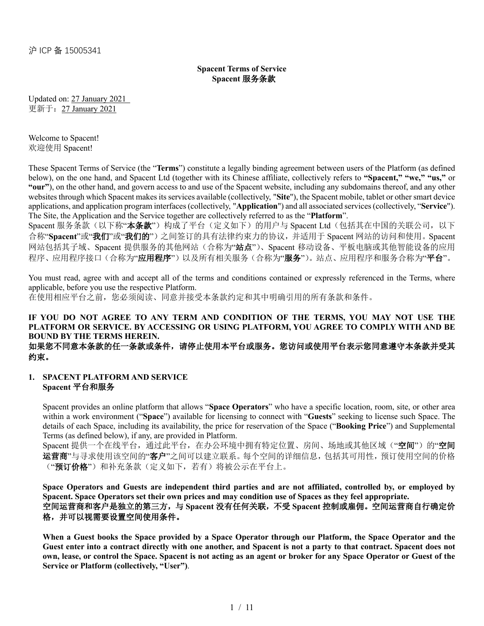# **Spacent Terms of Service Spacent** 服务条款

Updated on: 27 January 2021 更新于:27 January 2021

Welcome to Spacent! 欢迎使用 Spacent!

These Spacent Terms of Service (the "**Terms**") constitute a legally binding agreement between users of the Platform (as defined below), on the one hand, and Spacent Ltd (together with its Chinese affiliate, collectively refers to **"Spacent," "we," "us,"** or **"our"**), on the other hand, and govern access to and use of the Spacent website, including any subdomains thereof, and any other websites through which Spacent makes its services available (collectively, "**Site**"), the Spacent mobile, tablet or other smart device applications, and application program interfaces (collectively, "**Application**") and all associated services (collectively, "**Service**"). The Site, the Application and the Service together are collectively referred to as the "**Platform**".

Spacent 服务条款(以下称"本条款")构成了平台(定义如下)的用户与 Spacent Ltd(包括其在中国的关联公司,以下 合称"**Spacent**"或"我们"或"我们的")之间签订的具有法律约束力的协议,并适用于 Spacent 网站的访问和使用。Spacent 网站包括其子域、Spacent 提供服务的其他网站(合称为"站点")、Spacent 移动设备、平板电脑或其他智能设备的应用 程序、应用程序接口(合称为"应用程序")以及所有相关服务(合称为"服务")。站点、应用程序和服务合称为"平台"。

You must read, agree with and accept all of the terms and conditions contained or expressly referenced in the Terms, where applicable, before you use the respective Platform. 在使用相应平台之前,您必须阅读、同意并接受本条款约定和其中明确引用的所有条款和条件。

#### **IF YOU DO NOT AGREE TO ANY TERM AND CONDITION OF THE TERMS, YOU MAY NOT USE THE PLATFORM OR SERVICE. BY ACCESSING OR USING PLATFORM, YOU AGREE TO COMPLY WITH AND BE BOUND BY THE TERMS HEREIN.** 如果您不同意本条款的任一条款或条件,请停止使用本平台或服务。您访问或使用平台表示您同意遵守本条款并受其 约束。

#### **1. SPACENT PLATFORM AND SERVICE Spacent** 平台和服务

Spacent provides an online platform that allows "**Space Operators**" who have a specific location, room, site, or other area within a work environment ("**Space**") available for licensing to connect with "**Guests**" seeking to license such Space. The details of each Space, including its availability, the price for reservation of the Space ("**Booking Price**") and Supplemental Terms (as defined below), if any, are provided in Platform.

Spacent 提供一个在线平台,通过此平台,在办公环境中拥有特定位置、房间、场地或其他区域("空间")的"空间 运营商"与寻求使用该空间的"客户"之间可以建立联系。每个空间的详细信息,包括其可用性,预订使用空间的价格 ("**预订价格**")和补充条款(定义如下,若有)将被公示在平台上。

**Space Operators and Guests are independent third parties and are not affiliated, controlled by, or employed by Spacent. Space Operators set their own prices and may condition use of Spaces as they feel appropriate.**  空间运营商和客户是独立的第三方,与 **Spacent** 没有任何关联,不受 **Spacent** 控制或雇佣。空间运营商自行确定价 格,并可以视需要设置空间使用条件。

**When a Guest books the Space provided by a Space Operator through our Platform, the Space Operator and the Guest enter into a contract directly with one another, and Spacent is not a party to that contract. Spacent does not own, lease, or control the Space. Spacent is not acting as an agent or broker for any Space Operator or Guest of the Service or Platform (collectively, "User")**.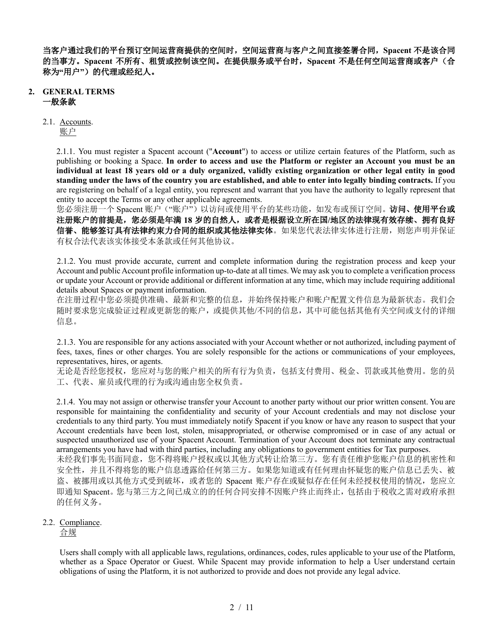当客户通过我们的平台预订空间运营商提供的空间时,空间运营商与客户之间直接签署合同,**Spacent** 不是该合同 的当事方。**Spacent** 不所有、租赁或控制该空间。在提供服务或平台时,**Spacent** 不是任何空间运营商或客户(合 称为"用户")的代理或经纪人。

### **2. GENERAL TERMS** 一般条款

# 2.1. Accounts.

账户

2.1.1. You must register a Spacent account ("**Account**") to access or utilize certain features of the Platform, such as publishing or booking a Space. **In order to access and use the Platform or register an Account you must be an individual at least 18 years old or a duly organized, validly existing organization or other legal entity in good standing under the laws of the country you are established, and able to enter into legally binding contracts.** If you are registering on behalf of a legal entity, you represent and warrant that you have the authority to legally represent that entity to accept the Terms or any other applicable agreements.

您必须注册一个 Spacent 账户("账户")以访问或使用平台的某些功能,如发布或预订空间。访问、使用平台或 注册账户的前提是,您必须是年满 **18** 岁的自然人,或者是根据设立所在国**/**地区的法律现有效存续、拥有良好 信誉、能够签订具有法律约束力合同的组织或其他法律实体。如果您代表法律实体进行注册,则您声明并保证 有权合法代表该实体接受本条款或任何其他协议。

2.1.2. You must provide accurate, current and complete information during the registration process and keep your Account and public Account profile information up-to-date at all times. We may ask you to complete a verification process or update your Account or provide additional or different information at any time, which may include requiring additional details about Spaces or payment information.

在注册过程中您必须提供准确、最新和完整的信息,并始终保持账户和账户配置文件信息为最新状态。我们会 随时要求您完成验证过程或更新您的账户,或提供其他/不同的信息,其中可能包括其他有关空间或支付的详细 信息。

2.1.3. You are responsible for any actions associated with your Account whether or not authorized, including payment of fees, taxes, fines or other charges. You are solely responsible for the actions or communications of your employees, representatives, hires, or agents.

无论是否经您授权,您应对与您的账户相关的所有行为负责,包括支付费用、税金、罚款或其他费用。您的员 工、代表、雇员或代理的行为或沟通由您全权负责。

2.1.4. You may not assign or otherwise transfer your Account to another party without our prior written consent. You are responsible for maintaining the confidentiality and security of your Account credentials and may not disclose your credentials to any third party. You must immediately notify Spacent if you know or have any reason to suspect that your Account credentials have been lost, stolen, misappropriated, or otherwise compromised or in case of any actual or suspected unauthorized use of your Spacent Account. Termination of your Account does not terminate any contractual arrangements you have had with third parties, including any obligations to government entities for Tax purposes. 未经我们事先书面同意,您不得将账户授权或以其他方式转让给第三方。您有责任维护您账户信息的机密性和

安全性,并且不得将您的账户信息透露给任何第三方。如果您知道或有任何理由怀疑您的账户信息已丢失、被 盗、被挪用或以其他方式受到破坏, 或者您的 Spacent 账户存在或疑似存在任何未经授权使用的情况, 您应立 即通知 Spacent。您与第三方之间已成立的的任何合同安排不因账户终止而终止,包括由于税收之需对政府承担 的任何义务。

# 2.2. Compliance.

合规

Users shall comply with all applicable laws, regulations, ordinances, codes, rules applicable to your use of the Platform, whether as a Space Operator or Guest. While Spacent may provide information to help a User understand certain obligations of using the Platform, it is not authorized to provide and does not provide any legal advice.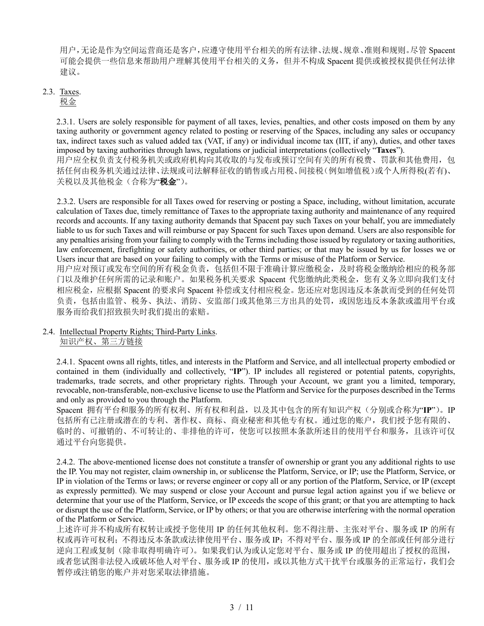用户,无论是作为空间运营商还是客户,应遵守使用平台相关的所有法律、法规、规章、准则和规则。尽管 Spacent 可能会提供一些信息来帮助用户理解其使用平台相关的义务,但并不构成 Spacent 提供或被授权提供任何法律 建议。

### 2.3. Taxes.

### 税金

2.3.1. Users are solely responsible for payment of all taxes, levies, penalties, and other costs imposed on them by any taxing authority or government agency related to posting or reserving of the Spaces, including any sales or occupancy tax, indirect taxes such as valued added tax (VAT, if any) or individual income tax (IIT, if any), duties, and other taxes imposed by taxing authorities through laws, regulations or judicial interpretations (collectively "**Taxes**"). 用户应全权负责支付税务机关或政府机构向其收取的与发布或预订空间有关的所有税费、罚款和其他费用,包 括任何由税务机关通过法律、法规或司法解释征收的销售或占用税、间接税(例如增值税)或个人所得税(若有)、 关税以及其他税金(合称为"税金")。

2.3.2. Users are responsible for all Taxes owed for reserving or posting a Space, including, without limitation, accurate calculation of Taxes due, timely remittance of Taxes to the appropriate taxing authority and maintenance of any required records and accounts. If any taxing authority demands that Spacent pay such Taxes on your behalf, you are immediately liable to us for such Taxes and will reimburse or pay Spacent for such Taxes upon demand. Users are also responsible for any penalties arising from your failing to comply with the Terms including those issued by regulatory or taxing authorities, law enforcement, firefighting or safety authorities, or other third parties; or that may be issued by us for losses we or Users incur that are based on your failing to comply with the Terms or misuse of the Platform or Service. 用户应对预订或发布空间的所有税金负责,包括但不限于准确计算应缴税金,及时将税金缴纳给相应的税务部 门以及维护任何所需的记录和账户。如果税务机关要求 Spacent 代您缴纳此类税金, 您有义务立即向我们支付 相应税金,应根据 Spacent 的要求向 Spacent 补偿或支付相应税金。您还应对您因违反本条款而受到的任何处罚 负责,包括由监管、税务、执法、消防、安监部门或其他第三方出具的处罚,或因您违反本条款或滥用平台或 服务而给我们招致损失时我们提出的索赔。

#### 2.4. Intellectual Property Rights; Third-Party Links. 知识产权、第三方链接

2.4.1. Spacent owns all rights, titles, and interests in the Platform and Service, and all intellectual property embodied or contained in them (individually and collectively, "**IP**"). IP includes all registered or potential patents, copyrights, trademarks, trade secrets, and other proprietary rights. Through your Account, we grant you a limited, temporary, revocable, non-transferable, non-exclusive license to use the Platform and Service for the purposes described in the Terms and only as provided to you through the Platform.

Spacent 拥有平台和服务的所有权利、所有权和利益,以及其中包含的所有知识产权(分别或合称为"**IP**")。IP 包括所有已注册或潜在的专利、著作权、商标、商业秘密和其他专有权。通过您的账户,我们授予您有限的、 临时的、可撤销的、不可转让的、非排他的许可,使您可以按照本条款所述目的使用平台和服务,且该许可仅 通过平台向您提供。

2.4.2. The above-mentioned license does not constitute a transfer of ownership or grant you any additional rights to use the IP. You may not register, claim ownership in, or sublicense the Platform, Service, or IP; use the Platform, Service, or IP in violation of the Terms or laws; or reverse engineer or copy all or any portion of the Platform, Service, or IP (except as expressly permitted). We may suspend or close your Account and pursue legal action against you if we believe or determine that your use of the Platform, Service, or IP exceeds the scope of this grant; or that you are attempting to hack or disrupt the use of the Platform, Service, or IP by others; or that you are otherwise interfering with the normal operation of the Platform or Service.

上述许可并不构成所有权转让或授予您使用 IP 的任何其他权利。您不得注册、主张对平台、服务或 IP 的所有 权或再许可权利;不得违反本条款或法律使用平台、服务或 IP;不得对平台、服务或 IP 的全部或任何部分进行 逆向工程或复制(除非取得明确许可)。如果我们认为或认定您对平台、服务或 IP 的使用超出了授权的范围, 或者您试图非法侵入或破坏他人对平台、服务或 IP 的使用, 或以其他方式干扰平台或服务的正常运行, 我们会 暂停或注销您的账户并对您采取法律措施。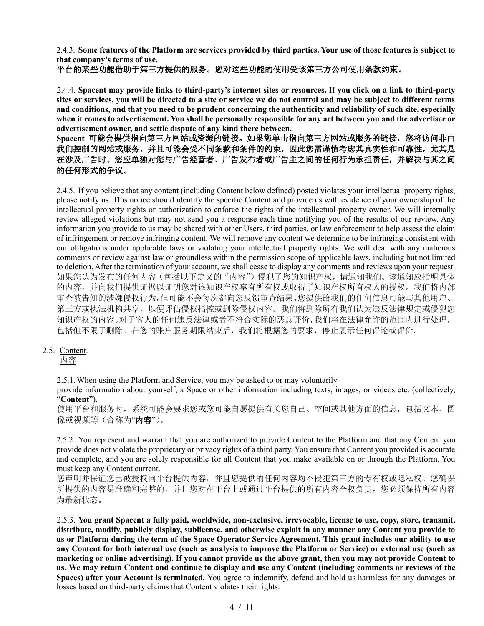2.4.3. **Some features of the Platform are services provided by third parties. Your use of those features is subject to that company's terms of use.** 

# 平台的某些功能借助于第三方提供的服务。您对这些功能的使用受该第三方公司使用条款约束。

2.4.4. **Spacent may provide links to third-party's internet sites or resources. If you click on a link to third-party sites or services, you will be directed to a site or service we do not control and may be subject to different terms and conditions, and that you need to be prudent concerning the authenticity and reliability of such site, especially when it comes to advertisement. You shall be personally responsible for any act between you and the advertiser or advertisement owner, and settle dispute of any kind there between.**

# **Spacent** 可能会提供指向第三方网站或资源的链接。如果您单击指向第三方网站或服务的链接,您将访问非由 我们控制的网站或服务,并且可能会受不同条款和条件的约束,因此您需谨慎考虑其真实性和可靠性,尤其是 在涉及广告时。您应单独对您与广告经营者、广告发布者或广告主之间的任何行为承担责任,并解决与其之间 的任何形式的争议。

2.4.5. If you believe that any content (including Content below defined) posted violates your intellectual property rights, please notify us. This notice should identify the specific Content and provide us with evidence of your ownership of the intellectual property rights or authorization to enforce the rights of the intellectual property owner. We will internally review alleged violations but may not send you a response each time notifying you of the results of our review. Any information you provide to us may be shared with other Users, third parties, or law enforcement to help assess the claim of infringement or remove infringing content. We will remove any content we determine to be infringing consistent with our obligations under applicable laws or violating your intellectual property rights. We will deal with any malicious comments or review against law or groundless within the permission scope of applicable laws, including but not limited to deletion. After the termination of your account, we shall cease to display any comments and reviews upon your request. 如果您认为发布的任何内容(包括以下定义的"内容")侵犯了您的知识产权,请通知我们。该通知应指明具体 的内容,并向我们提供证据以证明您对该知识产权享有所有权或取得了知识产权所有权人的授权。我们将内部 审查被告知的涉嫌侵权行为,但可能不会每次都向您反馈审查结果。您提供给我们的任何信息可能与其他用户、 第三方或执法机构共享,以便评估侵权指控或删除侵权内容。我们将删除所有我们认为违反法律规定或侵犯您 知识产权的内容。对于客人的任何违反法律或者不符合实际的恶意评价,我们将在法律允许的范围内进行处理, 包括但不限于删除。在您的账户服务期限结束后,我们将根据您的要求,停止展示任何评论或评价。

### 2.5. Content.

内容

2.5.1.When using the Platform and Service, you may be asked to or may voluntarily

provide information about yourself, a Space or other information including texts, images, or videos etc. (collectively, "**Content**").

使用平台和服务时,系统可能会要求您或您可能自愿提供有关您自己、空间或其他方面的信息,包括文本、图 像或视频等(合称为"内容")。

2.5.2. You represent and warrant that you are authorized to provide Content to the Platform and that any Content you provide does not violate the proprietary or privacy rights of a third party. You ensure that Content you provided is accurate and complete, and you are solely responsible for all Content that you make available on or through the Platform. You must keep any Content current.

您声明并保证您已被授权向平台提供内容,并且您提供的任何内容均不侵犯第三方的专有权或隐私权。您确保 所提供的内容是准确和完整的,并且您对在平台上或通过平台提供的所有内容全权负责。您必须保持所有内容 为最新状态。

2.5.3. **You grant Spacent a fully paid, worldwide, non-exclusive, irrevocable, license to use, copy, store, transmit, distribute, modify, publicly display, sublicense, and otherwise exploit in any manner any Content you provide to us or Platform during the term of the Space Operator Service Agreement. This grant includes our ability to use any Content for both internal use (such as analysis to improve the Platform or Service) or external use (such as marketing or online advertising). If you cannot provide us the above grant, then you may not provide Content to us. We may retain Content and continue to display and use any Content (including comments or reviews of the Spaces) after your Account is terminated.** You agree to indemnify, defend and hold us harmless for any damages or losses based on third-party claims that Content violates their rights.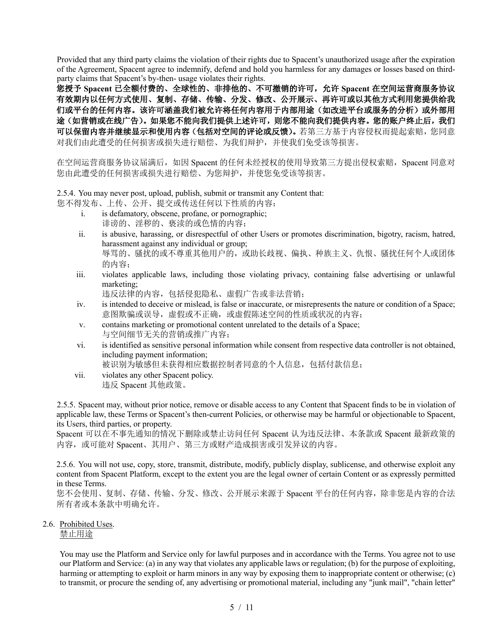Provided that any third party claims the violation of their rights due to Spacent's unauthorized usage after the expiration of the Agreement, Spacent agree to indemnify, defend and hold you harmless for any damages or losses based on thirdparty claims that Spacent's by-then- usage violates their rights.

您授予 **Spacent** 已全额付费的、全球性的、非排他的、不可撤销的许可,允许 **Spacent** 在空间运营商服务协议 有效期内以任何方式使用、复制、存储、传输、分发、修改、公开展示、再许可或以其他方式利用您提供给我 们或平台的任何内容。该许可涵盖我们被允许将任何内容用于内部用途(如改进平台或服务的分析)或外部用 途(如营销或在线广告)。如果您不能向我们提供上述许可,则您不能向我们提供内容。您的账户终止后,我们 可以保留内容并继续显示和使用内容(包括对空间的评论或反馈)。若第三方基于内容侵权而提起索赔,您同意 对我们由此遭受的任何损害或损失进行赔偿、为我们辩护,并使我们免受该等损害。

在空间运营商服务协议届满后,如因 Spacent 的任何未经授权的使用导致第三方提出侵权索赔,Spacent 同意对 您由此遭受的任何损害或损失进行赔偿、为您辩护,并使您免受该等损害。

2.5.4. You may never post, upload, publish, submit or transmit any Content that:

您不得发布、上传、公开、提交或传送任何以下性质的内容:

- i. is defamatory, obscene, profane, or pornographic; 诽谤的、淫秽的、亵渎的或色情的内容;
- ii. is abusive, harassing, or disrespectful of other Users or promotes discrimination, bigotry, racism, hatred, harassment against any individual or group; 辱骂的、骚扰的或不尊重其他用户的,或助长歧视、偏执、种族主义、仇恨、骚扰任何个人或团体 的内容;
- iii. violates applicable laws, including those violating privacy, containing false advertising or unlawful marketing;

违反法律的内容,包括侵犯隐私、虚假广告或非法营销;

- iv. is intended to deceive or mislead, is false or inaccurate, or misrepresents the nature or condition of a Space; 意图欺骗或误导,虚假或不正确,或虚假陈述空间的性质或状况的内容;
- v. contains marketing or promotional content unrelated to the details of a Space; 与空间细节无关的营销或推广内容;
- vi. is identified as sensitive personal information while consent from respective data controller is not obtained, including payment information;

被识别为敏感但未获得相应数据控制者同意的个人信息,包括付款信息;

vii. violates any other Spacent policy. 违反 Spacent 其他政策。

2.5.5. Spacent may, without prior notice, remove or disable access to any Content that Spacent finds to be in violation of applicable law, these Terms or Spacent's then-current Policies, or otherwise may be harmful or objectionable to Spacent, its Users, third parties, or property.

Spacent 可以在不事先通知的情况下删除或禁止访问任何 Spacent 认为违反法律、本条款或 Spacent 最新政策的 内容, 或可能对 Spacent、其用户、第三方或财产造成损害或引发异议的内容。

2.5.6. You will not use, copy, store, transmit, distribute, modify, publicly display, sublicense, and otherwise exploit any content from Spacent Platform, except to the extent you are the legal owner of certain Content or as expressly permitted in these Terms.

您不会使用、复制、存储、传输、分发、修改、公开展示来源于 Spacent 平台的任何内容,除非您是内容的合法 所有者或本条款中明确允许。

2.6. Prohibited Uses.

禁止用途

You may use the Platform and Service only for lawful purposes and in accordance with the Terms. You agree not to use our Platform and Service: (a) in any way that violates any applicable laws or regulation; (b) for the purpose of exploiting, harming or attempting to exploit or harm minors in any way by exposing them to inappropriate content or otherwise; (c) to transmit, or procure the sending of, any advertising or promotional material, including any "junk mail", "chain letter"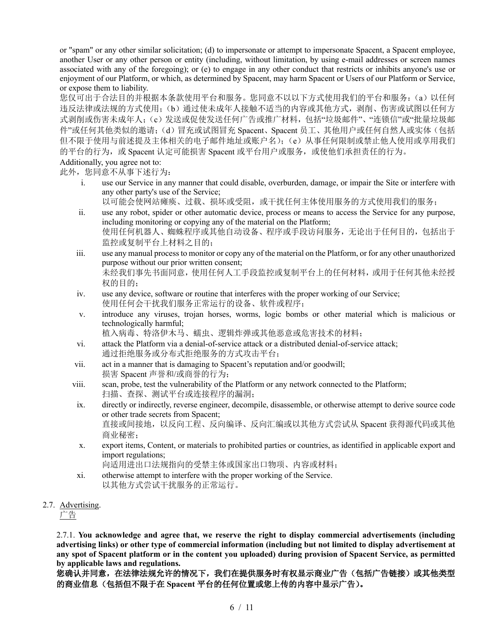or "spam" or any other similar solicitation; (d) to impersonate or attempt to impersonate Spacent, a Spacent employee, another User or any other person or entity (including, without limitation, by using e-mail addresses or screen names associated with any of the foregoing); or (e) to engage in any other conduct that restricts or inhibits anyone's use or enjoyment of our Platform, or which, as determined by Spacent, may harm Spacent or Users of our Platform or Service, or expose them to liability.

您仅可出于合法目的并根据本条款使用平台和服务。您同意不以以下方式使用我们的平台和服务:(a)以任何 违反法律或法规的方式使用;(b)通过使未成年人接触不适当的内容或其他方式,剥削、伤害或试图以任何方 式剥削或伤害未成年人;(c)发送或促使发送任何广告或推广材料,包括"垃圾邮件"、"连锁信"或"批量垃圾邮 件"或任何其他类似的邀请;(d)冒充或试图冒充 Spacent、Spacent 员工、其他用户或任何自然人或实体(包括 但不限于使用与前述提及主体相关的电子邮件地址或账户名);(e)从事任何限制或禁止他人使用或享用我们 的平台的行为, 或 Spacent 认定可能损害 Spacent 或平台用户或服务, 或使他们承担责任的行为。

# Additionally, you agree not to:

此外,您同意不从事下述行为:

- i. use our Service in any manner that could disable, overburden, damage, or impair the Site or interfere with any other party's use of the Service;
	- 以可能会使网站瘫痪、过载、损坏或受阻,或干扰任何主体使用服务的方式使用我们的服务;
- ii. use any robot, spider or other automatic device, process or means to access the Service for any purpose, including monitoring or copying any of the material on the Platform; 使用任何机器人、蜘蛛程序或其他自动设备、程序或手段访问服务,无论出于任何目的,包括出于 监控或复制平台上材料之目的;
- iii. use any manual process to monitor or copy any of the material on the Platform, or for any other unauthorized purpose without our prior written consent; 未经我们事先书面同意,使用任何人工手段监控或复制平台上的任何材料,或用于任何其他未经授 权的目的;
- iv. use any device, software or routine that interferes with the proper working of our Service; 使用任何会干扰我们服务正常运行的设备、软件或程序;
- v. introduce any viruses, trojan horses, worms, logic bombs or other material which is malicious or technologically harmful; 植入病毒、特洛伊木马、蠕虫、逻辑炸弹或其他恶意或危害技术的材料;
- vi. attack the Platform via a denial-of-service attack or a distributed denial-of-service attack; 通过拒绝服务或分布式拒绝服务的方式攻击平台;
- vii. act in a manner that is damaging to Spacent's reputation and/or goodwill; 损害 Spacent 声誉和/或商誉的行为;
- viii. scan, probe, test the vulnerability of the Platform or any network connected to the Platform; 扫描、查探、测试平台或连接程序的漏洞;
- ix. directly or indirectly, reverse engineer, decompile, disassemble, or otherwise attempt to derive source code or other trade secrets from Spacent; 直接或间接地,以反向工程、反向编译、反向汇编或以其他方式尝试从 Spacent 获得源代码或其他 商业秘密;
- x. export items, Content, or materials to prohibited parties or countries, as identified in applicable export and import regulations;

向适用进出口法规指向的受禁主体或国家出口物项、内容或材料;

- xi. otherwise attempt to interfere with the proper working of the Service. 以其他方式尝试干扰服务的正常运行。
- 2.7. Advertising.

广告

2.7.1. **You acknowledge and agree that, we reserve the right to display commercial advertisements (including advertising links) or other type of commercial information (including but not limited to display advertisement at any spot of Spacent platform or in the content you uploaded) during provision of Spacent Service, as permitted by applicable laws and regulations.**

您确认并同意,在法律法规允许的情况下,我们在提供服务时有权显示商业广告(包括广告链接)或其他类型 的商业信息(包括但不限于在 **Spacent** 平台的任何位置或您上传的内容中显示广告)。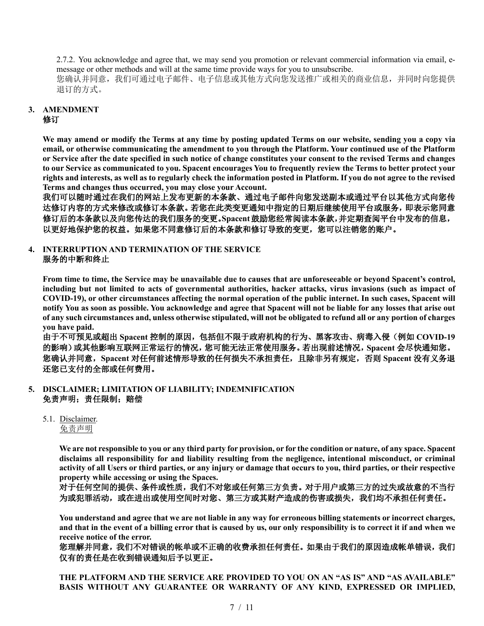2.7.2. You acknowledge and agree that, we may send you promotion or relevant commercial information via email, emessage or other methods and will at the same time provide ways for you to unsubscribe. 您确认并同意,我们可通过电子邮件、电子信息或其他方式向您发送推广或相关的商业信息,并同时向您提供 退订的方式。

#### **3. AMENDMENT** 修订

**We may amend or modify the Terms at any time by posting updated Terms on our website, sending you a copy via email, or otherwise communicating the amendment to you through the Platform. Your continued use of the Platform or Service after the date specified in such notice of change constitutes your consent to the revised Terms and changes to our Service as communicated to you. Spacent encourages You to frequently review the Terms to better protect your rights and interests, as well as to regularly check the information posted in Platform. If you do not agree to the revised Terms and changes thus occurred, you may close your Account.**

我们可以随时通过在我们的网站上发布更新的本条款、通过电子邮件向您发送副本或通过平台以其他方式向您传 达修订内容的方式来修改或修订本条款。若您在此类变更通知中指定的日期后继续使用平台或服务,即表示您同意 修订后的本条款以及向您传达的我们服务的变更。**Spacent**鼓励您经常阅读本条款,并定期查阅平台中发布的信息, 以更好地保护您的权益。如果您不同意修订后的本条款和修订导致的变更,您可以注销您的账户。

# **4. INTERRUPTION AND TERMINATION OF THE SERVICE** 服务的中断和终止

**From time to time, the Service may be unavailable due to causes that are unforeseeable or beyond Spacent's control, including but not limited to acts of governmental authorities, hacker attacks, virus invasions (such as impact of COVID-19), or other circumstances affecting the normal operation of the public internet. In such cases, Spacent will notify You as soon as possible. You acknowledge and agree that Spacent will not be liable for any losses that arise out of any such circumstances and, unless otherwise stipulated, will not be obligated to refund all or any portion of charges you have paid.**

由于不可预见或超出 **Spacent** 控制的原因,包括但不限于政府机构的行为、黑客攻击、病毒入侵(例如 **COVID-19** 的影响)或其他影响互联网正常运行的情况,您可能无法正常使用服务。若出现前述情况,**Spacent** 会尽快通知您。 您确认并同意,**Spacent** 对任何前述情形导致的任何损失不承担责任,且除非另有规定,否则 **Spacent** 没有义务退 还您已支付的全部或任何费用。

- **5. DISCLAIMER; LIMITATION OF LIABILITY; INDEMNIFICATION**  免责声明;责任限制;赔偿
	- 5.1. Disclaimer.
		- 免责声明

**We are not responsible to you or any third party for provision, or for the condition or nature, of any space. Spacent disclaims all responsibility for and liability resulting from the negligence, intentional misconduct, or criminal activity of all Users or third parties, or any injury or damage that occurs to you, third parties, or their respective property while accessing or using the Spaces.** 

对于任何空间的提供、条件或性质,我们不对您或任何第三方负责。对于用户或第三方的过失或故意的不当行 为或犯罪活动,或在进出或使用空间时对您、第三方或其财产造成的伤害或损失,我们均不承担任何责任。

**You understand and agree that we are not liable in any way for erroneous billing statements or incorrect charges, and that in the event of a billing error that is caused by us, our only responsibility is to correct it if and when we receive notice of the error.**

您理解并同意,我们不对错误的帐单或不正确的收费承担任何责任。如果由于我们的原因造成帐单错误,我们 仅有的责任是在收到错误通知后予以更正。

**THE PLATFORM AND THE SERVICE ARE PROVIDED TO YOU ON AN "AS IS" AND "AS AVAILABLE" BASIS WITHOUT ANY GUARANTEE OR WARRANTY OF ANY KIND, EXPRESSED OR IMPLIED,**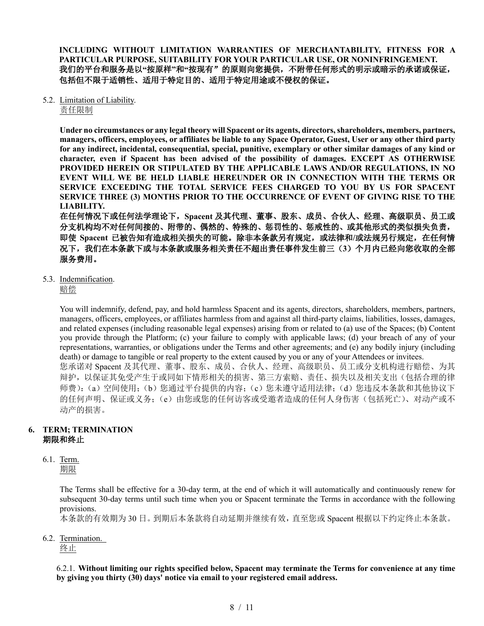**INCLUDING WITHOUT LIMITATION WARRANTIES OF MERCHANTABILITY, FITNESS FOR A PARTICULAR PURPOSE, SUITABILITY FOR YOUR PARTICULAR USE, OR NONINFRINGEMENT.**  我们的平台和服务是以**"**按原样**"**和**"**按现有"的原则向您提供,不附带任何形式的明示或暗示的承诺或保证, 包括但不限于适销性、适用于特定目的、适用于特定用途或不侵权的保证。

5.2. Limitation of Liability.

责任限制

**Under no circumstances or any legal theory will Spacent or its agents, directors, shareholders, members, partners, managers, officers, employees, or affiliates be liable to any Space Operator, Guest, User or any other third party for any indirect, incidental, consequential, special, punitive, exemplary or other similar damages of any kind or character, even if Spacent has been advised of the possibility of damages. EXCEPT AS OTHERWISE PROVIDED HEREIN OR STIPULATED BY THE APPLICABLE LAWS AND/OR REGULATIONS, IN NO EVENT WILL WE BE HELD LIABLE HEREUNDER OR IN CONNECTION WITH THE TERMS OR SERVICE EXCEEDING THE TOTAL SERVICE FEES CHARGED TO YOU BY US FOR SPACENT SERVICE THREE (3) MONTHS PRIOR TO THE OCCURRENCE OF EVENT OF GIVING RISE TO THE LIABILITY.**

在任何情况下或任何法学理论下,**Spacent** 及其代理、董事、股东、成员、合伙人、经理、高级职员、员工或 分支机构均不对任何间接的、附带的、偶然的、特殊的、惩罚性的、惩戒性的、或其他形式的类似损失负责, 即使 **Spacent** 已被告知有造成相关损失的可能。除非本条款另有规定,或法律和**/**或法规另行规定,在任何情 况下,我们在本条款下或与本条款或服务相关责任不超出责任事件发生前三(**3**)个月内已经向您收取的全部 服务费用。

5.3. Indemnification.

赔偿

You will indemnify, defend, pay, and hold harmless Spacent and its agents, directors, shareholders, members, partners, managers, officers, employees, or affiliates harmless from and against all third-party claims, liabilities, losses, damages, and related expenses (including reasonable legal expenses) arising from or related to (a) use of the Spaces; (b) Content you provide through the Platform; (c) your failure to comply with applicable laws; (d) your breach of any of your representations, warranties, or obligations under the Terms and other agreements; and (e) any bodily injury (including death) or damage to tangible or real property to the extent caused by you or any of your Attendees or invitees. 您承诺对 Spacent 及其代理、董事、股东、成员、合伙人、经理、高级职员、员工或分支机构进行赔偿、为其 辩护,以保证其免受产生于或同如下情形相关的损害、第三方索赔、责任、损失以及相关支出(包括合理的律 师费):(a)空间使用;(b)您通过平台提供的内容;(c)您未遵守适用法律;(d)您违反本条款和其他协议下 的任何声明、保证或义务;(e)由您或您的任何访客或受邀者造成的任何人身伤害(包括死亡)、对动产或不 动产的损害。

# **6. TERM; TERMINATION** 期限和终止

6.1. Term.

期限

The Terms shall be effective for a 30-day term, at the end of which it will automatically and continuously renew for subsequent 30-day terms until such time when you or Spacent terminate the Terms in accordance with the following provisions.

本条款的有效期为 30 日。到期后本条款将自动延期并继续有效,直至您或 Spacent 根据以下约定终止本条款。

6.2. Termination.

终止

6.2.1. **Without limiting our rights specified below, Spacent may terminate the Terms for convenience at any time by giving you thirty (30) days' notice via email to your registered email address.**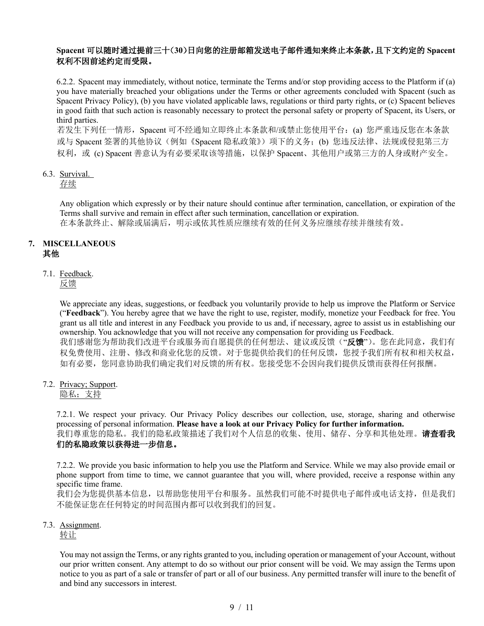# **Spacent** 可以随时通过提前三十(**30**)日向您的注册邮箱发送电子邮件通知来终止本条款,且下文约定的 **Spacent** 权利不因前述约定而受限。

6.2.2. Spacent may immediately, without notice, terminate the Terms and/or stop providing access to the Platform if (a) you have materially breached your obligations under the Terms or other agreements concluded with Spacent (such as Spacent Privacy Policy), (b) you have violated applicable laws, regulations or third party rights, or (c) Spacent believes in good faith that such action is reasonably necessary to protect the personal safety or property of Spacent, its Users, or third parties.

若发生下列任一情形, Spacent 可不经通知立即终止本条款和/或禁止您使用平台: (a) 您严重违反您在本条款 或与 Spacent 签署的其他协议(例如《Spacent 隐私政策》)项下的义务;(b) 您违反法律、法规或侵犯第三方 权利, 或 (c) Spacent 善意认为有必要采取该等措施, 以保护 Spacent、其他用户或第三方的人身或财产安全。

# 6.3. Survival.

# 存续

Any obligation which expressly or by their nature should continue after termination, cancellation, or expiration of the Terms shall survive and remain in effect after such termination, cancellation or expiration. 在本条款终止、解除或届满后,明示或依其性质应继续有效的任何义务应继续存续并继续有效。

# **7. MISCELLANEOUS** 其他

# 7.1. Feedback.

反馈

We appreciate any ideas, suggestions, or feedback you voluntarily provide to help us improve the Platform or Service ("**Feedback**"). You hereby agree that we have the right to use, register, modify, monetize your Feedback for free. You grant us all title and interest in any Feedback you provide to us and, if necessary, agree to assist us in establishing our ownership. You acknowledge that you will not receive any compensation for providing us Feedback. 我们感谢您为帮助我们改进平台或服务而自愿提供的任何想法、建议或反馈("反馈")。您在此同意,我们有 权免费使用、注册、修改和商业化您的反馈。对于您提供给我们的任何反馈,您授予我们所有权和相关权益, 如有必要,您同意协助我们确定我们对反馈的所有权。您接受您不会因向我们提供反馈而获得任何报酬。

7.2. Privacy; Support.

隐私;支持

7.2.1. We respect your privacy. Our Privacy Policy describes our collection, use, storage, sharing and otherwise processing of personal information. **Please have a look at our Privacy Policy for further information.** 我们尊重您的隐私。我们的隐私政策描述了我们对个人信息的收集、使用、储存、分享和其他处理。**请查看我** 们的私隐政策以获得进一步信息。

7.2.2. We provide you basic information to help you use the Platform and Service. While we may also provide email or phone support from time to time, we cannot guarantee that you will, where provided, receive a response within any specific time frame.

我们会为您提供基本信息,以帮助您使用平台和服务。虽然我们可能不时提供电子邮件或电话支持,但是我们 不能保证您在任何特定的时间范围内都可以收到我们的回复。

### 7.3. Assignment.

转让

You may not assign the Terms, or any rights granted to you, including operation or management of your Account, without our prior written consent. Any attempt to do so without our prior consent will be void. We may assign the Terms upon notice to you as part of a sale or transfer of part or all of our business. Any permitted transfer will inure to the benefit of and bind any successors in interest.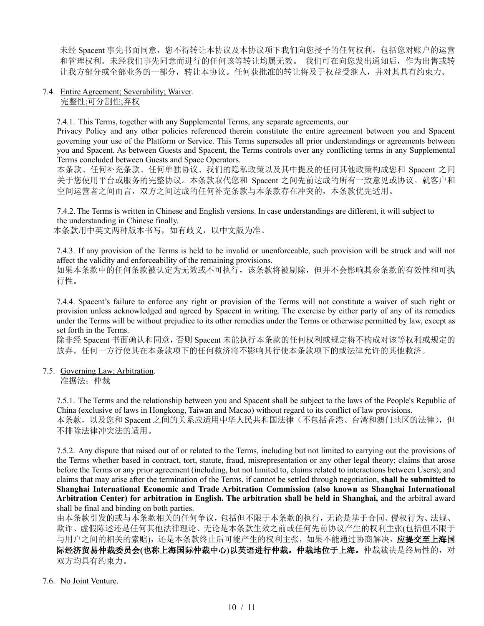未经 Spacent 事先书面同意,您不得转让本协议及本协议项下我们向您授予的任何权利,包括您对账户的运营 和管理权利。未经我们事先同意而进行的任何该等转让均属无效。 我们可在向您发出通知后,作为出售或转 让我方部分或全部业务的一部分,转让本协议。任何获批准的转让将及于权益受继人,并对其具有约束力。

#### 7.4. Entire Agreement; Severability; Waiver. 完整性;可分割性;弃权

7.4.1. This Terms, together with any Supplemental Terms, any separate agreements, our

Privacy Policy and any other policies referenced therein constitute the entire agreement between you and Spacent governing your use of the Platform or Service. This Terms supersedes all prior understandings or agreements between you and Spacent. As between Guests and Spacent, the Terms controls over any conflicting terms in any Supplemental Terms concluded between Guests and Space Operators.

本条款、任何补充条款、任何单独协议、我们的隐私政策以及其中提及的任何其他政策构成您和 Spacent 之间 关于您使用平台或服务的完整协议。本条款取代您和 Spacent 之间先前达成的所有一致意见或协议。就客户和 空间运营者之间而言,双方之间达成的任何补充条款与本条款存在冲突的,本条款优先适用。

7.4.2.The Terms is written in Chinese and English versions. In case understandings are different, it will subject to the understanding in Chinese finally.

本条款用中英文两种版本书写,如有歧义,以中文版为准。

7.4.3. If any provision of the Terms is held to be invalid or unenforceable, such provision will be struck and will not affect the validity and enforceability of the remaining provisions.

如果本条款中的任何条款被认定为无效或不可执行,该条款将被剔除,但并不会影响其余条款的有效性和可执 行性。

7.4.4. Spacent's failure to enforce any right or provision of the Terms will not constitute a waiver of such right or provision unless acknowledged and agreed by Spacent in writing. The exercise by either party of any of its remedies under the Terms will be without prejudice to its other remedies under the Terms or otherwise permitted by law, except as set forth in the Terms.

除非经 Spacent 书面确认和同意, 否则 Spacent 未能执行本条款的任何权利或规定将不构成对该等权利或规定的 放弃。任何一方行使其在本条款项下的任何救济将不影响其行使本条款项下的或法律允许的其他救济。

7.5. Governing Law; Arbitration. 准据法;仲裁

> 7.5.1. The Terms and the relationship between you and Spacent shall be subject to the laws of the People's Republic of China (exclusive of laws in Hongkong, Taiwan and Macao) without regard to its conflict of law provisions. 本条款,以及您和 Spacent 之间的关系应适用中华人民共和国法律(不包括香港、台湾和澳门地区的法律),但 不排除法律冲突法的适用。

> 7.5.2. Any dispute that raised out of or related to the Terms, including but not limited to carrying out the provisions of the Terms whether based in contract, tort, statute, fraud, misrepresentation or any other legal theory; claims that arose before the Terms or any prior agreement (including, but not limited to, claims related to interactions between Users); and claims that may arise after the termination of the Terms, if cannot be settled through negotiation, **shall be submitted to Shanghai International Economic and Trade Arbitration Commission (also known as Shanghai International Arbitration Center) for arbitration in English. The arbitration shall be held in Shanghai,** and the arbitral award shall be final and binding on both parties.

> 由本条款引发的或与本条款相关的任何争议,包括但不限于本条款的执行,无论是基于合同、侵权行为、法规、 欺诈、虚假陈述还是任何其他法律理论、无论是本条款生效之前或任何先前协议产生的权利主张(包括但不限于 与用户之间的相关的索赔),还是本条款终止后可能产生的权利主张,如果不能通过协商解决,应提交至上海国 际经济贸易仲裁委员会**(**也称上海国际仲裁中心**)**以英语进行仲裁。仲裁地位于上海。仲裁裁决是终局性的,对 双方均具有约束力。

### 7.6. No Joint Venture.